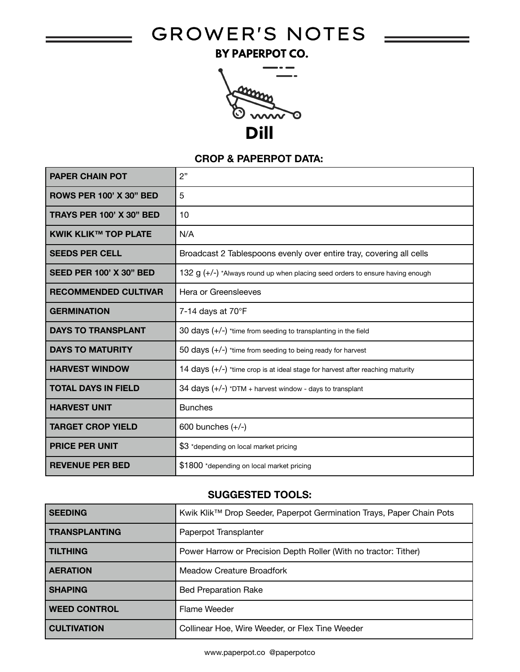# GROWER'S NOTES =

BY PAPERPOT CO.



### **CROP & PAPERPOT DATA:**

| <b>PAPER CHAIN POT</b>          | 2"                                                                              |
|---------------------------------|---------------------------------------------------------------------------------|
| <b>ROWS PER 100' X 30" BED</b>  | 5                                                                               |
| <b>TRAYS PER 100' X 30" BED</b> | 10                                                                              |
| <b>KWIK KLIK™ TOP PLATE</b>     | N/A                                                                             |
| <b>SEEDS PER CELL</b>           | Broadcast 2 Tablespoons evenly over entire tray, covering all cells             |
| <b>SEED PER 100' X 30" BED</b>  | 132 $g$ (+/-) *Always round up when placing seed orders to ensure having enough |
| <b>RECOMMENDED CULTIVAR</b>     | Hera or Greensleeves                                                            |
| <b>GERMINATION</b>              | 7-14 days at 70°F                                                               |
| <b>DAYS TO TRANSPLANT</b>       | 30 days $(+/-)$ *time from seeding to transplanting in the field                |
| <b>DAYS TO MATURITY</b>         | 50 days $(+/-)$ *time from seeding to being ready for harvest                   |
| <b>HARVEST WINDOW</b>           | 14 days (+/-) *time crop is at ideal stage for harvest after reaching maturity  |
| <b>TOTAL DAYS IN FIELD</b>      | 34 days (+/-) *DTM + harvest window - days to transplant                        |
| <b>HARVEST UNIT</b>             | <b>Bunches</b>                                                                  |
| <b>TARGET CROP YIELD</b>        | 600 bunches $(+/-)$                                                             |
| <b>PRICE PER UNIT</b>           | \$3 *depending on local market pricing                                          |
| <b>REVENUE PER BED</b>          | \$1800 *depending on local market pricing                                       |

# **SUGGESTED TOOLS:**

| <b>SEEDING</b>       | Kwik Klik™ Drop Seeder, Paperpot Germination Trays, Paper Chain Pots |
|----------------------|----------------------------------------------------------------------|
| <b>TRANSPLANTING</b> | Paperpot Transplanter                                                |
| <b>TILTHING</b>      | Power Harrow or Precision Depth Roller (With no tractor: Tither)     |
| <b>AERATION</b>      | Meadow Creature Broadfork                                            |
| <b>SHAPING</b>       | <b>Bed Preparation Rake</b>                                          |
| <b>WEED CONTROL</b>  | Flame Weeder                                                         |
| <b>CULTIVATION</b>   | Collinear Hoe, Wire Weeder, or Flex Tine Weeder                      |